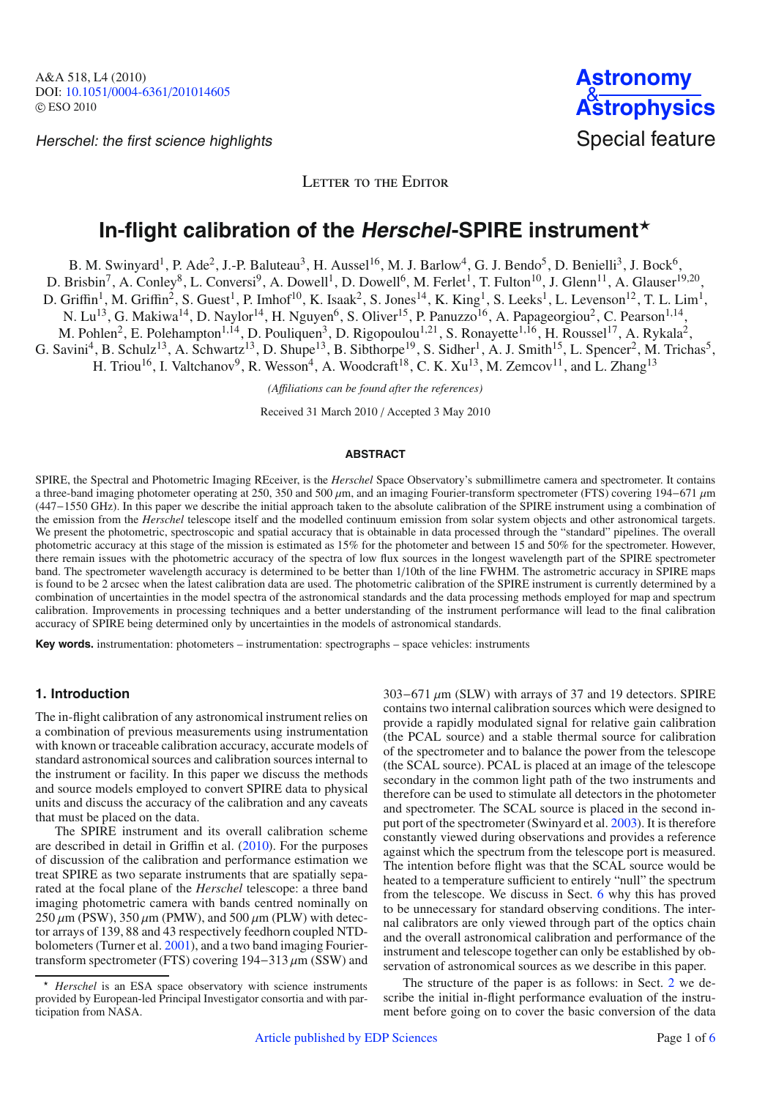Herschel: the first science highlights Special feature

LETTER TO THE EDITOR

# In-flight calibration of the Herschel-SPIRE instrument<sup>\*</sup>

B. M. Swinyard<sup>1</sup>, P. Ade<sup>2</sup>, J.-P. Baluteau<sup>3</sup>, H. Aussel<sup>16</sup>, M. J. Barlow<sup>4</sup>, G. J. Bendo<sup>5</sup>, D. Benielli<sup>3</sup>, J. Bock<sup>6</sup>,

D. Brisbin<sup>7</sup>, A. Conley<sup>8</sup>, L. Conversi<sup>9</sup>, A. Dowell<sup>1</sup>, D. Dowell<sup>6</sup>, M. Ferlet<sup>1</sup>, T. Fulton<sup>10</sup>, J. Glenn<sup>11</sup>, A. Glauser<sup>19,20</sup>,

D. Griffin<sup>1</sup>, M. Griffin<sup>2</sup>, S. Guest<sup>1</sup>, P. Imhof<sup>10</sup>, K. Isaak<sup>2</sup>, S. Jones<sup>14</sup>, K. King<sup>1</sup>, S. Leeks<sup>1</sup>, L. Levenson<sup>12</sup>, T. L. Lim<sup>1</sup>,

N. Lu<sup>13</sup>, G. Makiwa<sup>14</sup>, D. Naylor<sup>14</sup>, H. Nguyen<sup>6</sup>, S. Oliver<sup>15</sup>, P. Panuzzo<sup>16</sup>, A. Papageorgiou<sup>2</sup>, C. Pearson<sup>1,14</sup>,

M. Pohlen<sup>2</sup>, E. Polehampton<sup>1,14</sup>, D. Pouliquen<sup>3</sup>, D. Rigopoulou<sup>1,21</sup>, S. Ronayette<sup>1,16</sup>, H. Roussel<sup>17</sup>, A. Rykala<sup>2</sup>,

G. Savini<sup>4</sup>, B. Schulz<sup>13</sup>, A. Schwartz<sup>13</sup>, D. Shupe<sup>13</sup>, B. Sibthorpe<sup>19</sup>, S. Sidher<sup>1</sup>, A. J. Smith<sup>15</sup>, L. Spencer<sup>2</sup>, M. Trichas<sup>5</sup>,

H. Triou<sup>16</sup>, I. Valtchanov<sup>9</sup>, R. Wesson<sup>4</sup>, A. Woodcraft<sup>18</sup>, C. K. Xu<sup>13</sup>, M. Zemcov<sup>11</sup>, and L. Zhang<sup>13</sup>

*(A*ffi*liations can be found after the references)*

Received 31 March 2010 / Accepted 3 May 2010

### **ABSTRACT**

SPIRE, the Spectral and Photometric Imaging REceiver, is the *Herschel* Space Observatory's submillimetre camera and spectrometer. It contains a three-band imaging photometer operating at 250, 350 and 500 μm, and an imaging Fourier-transform spectrometer (FTS) covering 194−671 μm (447−1550 GHz). In this paper we describe the initial approach taken to the absolute calibration of the SPIRE instrument using a combination of the emission from the *Herschel* telescope itself and the modelled continuum emission from solar system objects and other astronomical targets. We present the photometric, spectroscopic and spatial accuracy that is obtainable in data processed through the "standard" pipelines. The overall photometric accuracy at this stage of the mission is estimated as 15% for the photometer and between 15 and 50% for the spectrometer. However, there remain issues with the photometric accuracy of the spectra of low flux sources in the longest wavelength part of the SPIRE spectrometer band. The spectrometer wavelength accuracy is determined to be better than 1/10th of the line FWHM. The astrometric accuracy in SPIRE maps is found to be 2 arcsec when the latest calibration data are used. The photometric calibration of the SPIRE instrument is currently determined by a combination of uncertainties in the model spectra of the astronomical standards and the data processing methods employed for map and spectrum calibration. Improvements in processing techniques and a better understanding of the instrument performance will lead to the final calibration accuracy of SPIRE being determined only by uncertainties in the models of astronomical standards.

**Key words.** instrumentation: photometers – instrumentation: spectrographs – space vehicles: instruments

# **1. Introduction**

The in-flight calibration of any astronomical instrument relies on a combination of previous measurements using instrumentation with known or traceable calibration accuracy, accurate models of standard astronomical sources and calibration sources internal to the instrument or facility. In this paper we discuss the methods and source models employed to convert SPIRE data to physical units and discuss the accuracy of the calibration and any caveats that must be placed on the data.

The SPIRE instrument and its overall calibration scheme are described in detail in Griffin et al. [\(2010\)](#page-5-0). For the purposes of discussion of the calibration and performance estimation we treat SPIRE as two separate instruments that are spatially separated at the focal plane of the *Herschel* telescope: a three band imaging photometric camera with bands centred nominally on  $250 \mu$ m (PSW),  $350 \mu$ m (PMW), and  $500 \mu$ m (PLW) with detector arrays of 139, 88 and 43 respectively feedhorn coupled NTDbolometers (Turner et al. [2001\)](#page-5-1), and a two band imaging Fouriertransform spectrometer (FTS) covering  $194-313 \mu m$  (SSW) and 303−671 μm (SLW) with arrays of 37 and 19 detectors. SPIRE contains two internal calibration sources which were designed to provide a rapidly modulated signal for relative gain calibration (the PCAL source) and a stable thermal source for calibration of the spectrometer and to balance the power from the telescope (the SCAL source). PCAL is placed at an image of the telescope secondary in the common light path of the two instruments and therefore can be used to stimulate all detectors in the photometer and spectrometer. The SCAL source is placed in the second input port of the spectrometer (Swinyard et al. [2003\)](#page-5-2). It is therefore constantly viewed during observations and provides a reference against which the spectrum from the telescope port is measured. The intention before flight was that the SCAL source would be heated to a temperature sufficient to entirely "null" the spectrum from the telescope. We discuss in Sect. [6](#page-3-0) why this has proved to be unnecessary for standard observing conditions. The internal calibrators are only viewed through part of the optics chain and the overall astronomical calibration and performance of the instrument and telescope together can only be established by observation of astronomical sources as we describe in this paper.

The structure of the paper is as follows: in Sect. [2](#page-1-0) we describe the initial in-flight performance evaluation of the instrument before going on to cover the basic conversion of the data

<sup>-</sup> *Herschel* is an ESA space observatory with science instruments provided by European-led Principal Investigator consortia and with participation from NASA.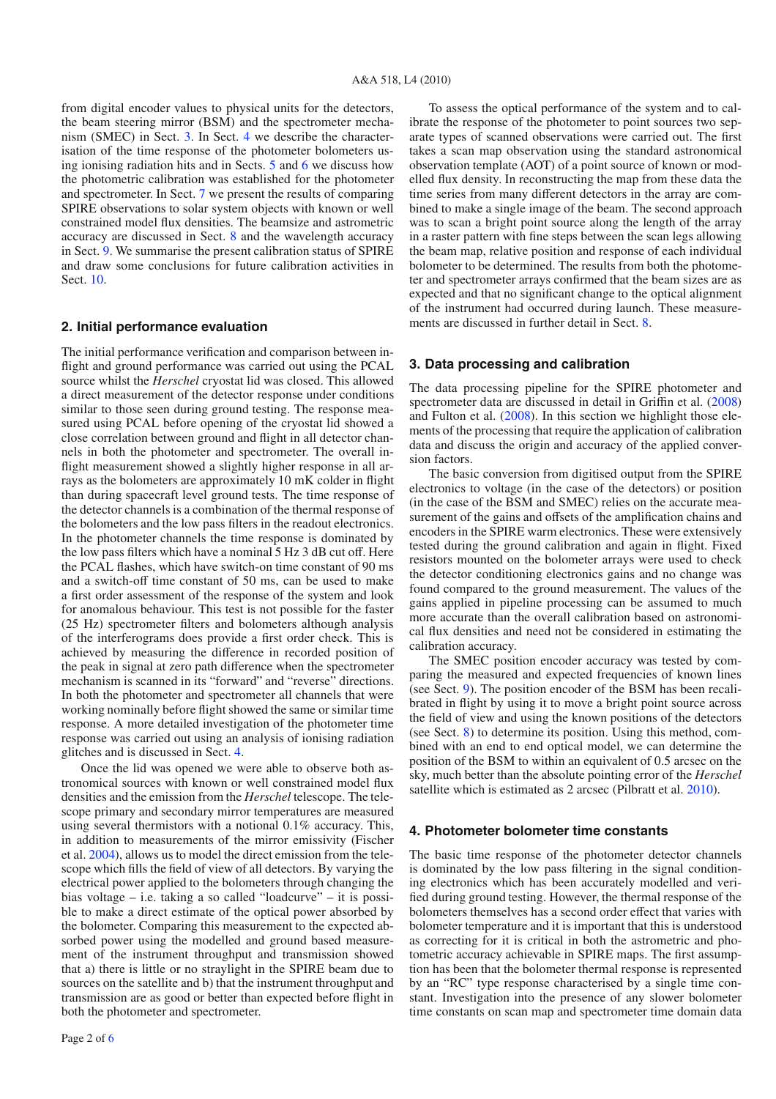from digital encoder values to physical units for the detectors, the beam steering mirror (BSM) and the spectrometer mechanism (SMEC) in Sect. [3.](#page-1-1) In Sect. [4](#page-1-2) we describe the characterisation of the time response of the photometer bolometers using ionising radiation hits and in Sects. [5](#page-2-0) and [6](#page-3-0) we discuss how the photometric calibration was established for the photometer and spectrometer. In Sect. [7](#page-3-1) we present the results of comparing SPIRE observations to solar system objects with known or well constrained model flux densities. The beamsize and astrometric accuracy are discussed in Sect. [8](#page-3-2) and the wavelength accuracy in Sect. [9.](#page-4-0) We summarise the present calibration status of SPIRE and draw some conclusions for future calibration activities in Sect. [10.](#page-4-1)

# <span id="page-1-0"></span>**2. Initial performance evaluation**

The initial performance verification and comparison between inflight and ground performance was carried out using the PCAL source whilst the *Herschel* cryostat lid was closed. This allowed a direct measurement of the detector response under conditions similar to those seen during ground testing. The response measured using PCAL before opening of the cryostat lid showed a close correlation between ground and flight in all detector channels in both the photometer and spectrometer. The overall inflight measurement showed a slightly higher response in all arrays as the bolometers are approximately 10 mK colder in flight than during spacecraft level ground tests. The time response of the detector channels is a combination of the thermal response of the bolometers and the low pass filters in the readout electronics. In the photometer channels the time response is dominated by the low pass filters which have a nominal 5 Hz 3 dB cut off. Here the PCAL flashes, which have switch-on time constant of 90 ms and a switch-off time constant of 50 ms, can be used to make a first order assessment of the response of the system and look for anomalous behaviour. This test is not possible for the faster (25 Hz) spectrometer filters and bolometers although analysis of the interferograms does provide a first order check. This is achieved by measuring the difference in recorded position of the peak in signal at zero path difference when the spectrometer mechanism is scanned in its "forward" and "reverse" directions. In both the photometer and spectrometer all channels that were working nominally before flight showed the same or similar time response. A more detailed investigation of the photometer time response was carried out using an analysis of ionising radiation glitches and is discussed in Sect. [4.](#page-1-2)

Once the lid was opened we were able to observe both astronomical sources with known or well constrained model flux densities and the emission from the *Herschel* telescope. The telescope primary and secondary mirror temperatures are measured using several thermistors with a notional 0.1% accuracy. This, in addition to measurements of the mirror emissivity (Fischer et al. [2004\)](#page-5-4), allows us to model the direct emission from the telescope which fills the field of view of all detectors. By varying the electrical power applied to the bolometers through changing the bias voltage – i.e. taking a so called "loadcurve" – it is possible to make a direct estimate of the optical power absorbed by the bolometer. Comparing this measurement to the expected absorbed power using the modelled and ground based measurement of the instrument throughput and transmission showed that a) there is little or no straylight in the SPIRE beam due to sources on the satellite and b) that the instrument throughput and transmission are as good or better than expected before flight in both the photometer and spectrometer.

To assess the optical performance of the system and to calibrate the response of the photometer to point sources two separate types of scanned observations were carried out. The first takes a scan map observation using the standard astronomical observation template (AOT) of a point source of known or modelled flux density. In reconstructing the map from these data the time series from many different detectors in the array are combined to make a single image of the beam. The second approach was to scan a bright point source along the length of the array in a raster pattern with fine steps between the scan legs allowing the beam map, relative position and response of each individual bolometer to be determined. The results from both the photometer and spectrometer arrays confirmed that the beam sizes are as expected and that no significant change to the optical alignment of the instrument had occurred during launch. These measurements are discussed in further detail in Sect. [8.](#page-3-2)

# <span id="page-1-1"></span>**3. Data processing and calibration**

The data processing pipeline for the SPIRE photometer and spectrometer data are discussed in detail in Griffin et al. [\(2008\)](#page-5-5) and Fulton et al. [\(2008\)](#page-5-6). In this section we highlight those elements of the processing that require the application of calibration data and discuss the origin and accuracy of the applied conversion factors.

The basic conversion from digitised output from the SPIRE electronics to voltage (in the case of the detectors) or position (in the case of the BSM and SMEC) relies on the accurate measurement of the gains and offsets of the amplification chains and encoders in the SPIRE warm electronics. These were extensively tested during the ground calibration and again in flight. Fixed resistors mounted on the bolometer arrays were used to check the detector conditioning electronics gains and no change was found compared to the ground measurement. The values of the gains applied in pipeline processing can be assumed to much more accurate than the overall calibration based on astronomical flux densities and need not be considered in estimating the calibration accuracy.

The SMEC position encoder accuracy was tested by comparing the measured and expected frequencies of known lines (see Sect. [9\)](#page-4-0). The position encoder of the BSM has been recalibrated in flight by using it to move a bright point source across the field of view and using the known positions of the detectors (see Sect. [8\)](#page-3-2) to determine its position. Using this method, combined with an end to end optical model, we can determine the position of the BSM to within an equivalent of 0.5 arcsec on the sky, much better than the absolute pointing error of the *Herschel* satellite which is estimated as 2 arcsec (Pilbratt et al. [2010\)](#page-5-7).

#### <span id="page-1-2"></span>**4. Photometer bolometer time constants**

The basic time response of the photometer detector channels is dominated by the low pass filtering in the signal conditioning electronics which has been accurately modelled and verified during ground testing. However, the thermal response of the bolometers themselves has a second order effect that varies with bolometer temperature and it is important that this is understood as correcting for it is critical in both the astrometric and photometric accuracy achievable in SPIRE maps. The first assumption has been that the bolometer thermal response is represented by an "RC" type response characterised by a single time constant. Investigation into the presence of any slower bolometer time constants on scan map and spectrometer time domain data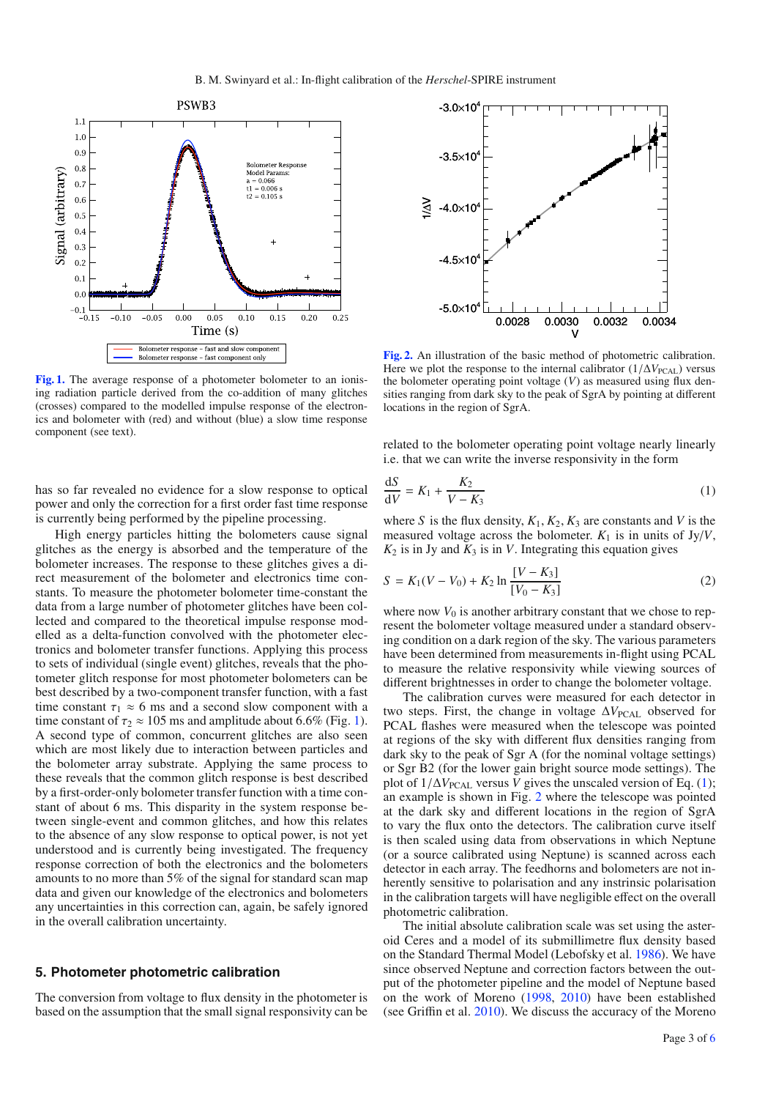<span id="page-2-1"></span>

[Fig. 1.](http://dexter.edpsciences.org/applet.php?DOI=10.1051/0004-6361/201014605&pdf_id=1) The average response of a photometer bolometer to an ionising radiation particle derived from the co-addition of many glitches (crosses) compared to the modelled impulse response of the electronics and bolometer with (red) and without (blue) a slow time response component (see text).

has so far revealed no evidence for a slow response to optical power and only the correction for a first order fast time response is currently being performed by the pipeline processing.

High energy particles hitting the bolometers cause signal glitches as the energy is absorbed and the temperature of the bolometer increases. The response to these glitches gives a direct measurement of the bolometer and electronics time constants. To measure the photometer bolometer time-constant the data from a large number of photometer glitches have been collected and compared to the theoretical impulse response modelled as a delta-function convolved with the photometer electronics and bolometer transfer functions. Applying this process to sets of individual (single event) glitches, reveals that the photometer glitch response for most photometer bolometers can be best described by a two-component transfer function, with a fast time constant  $\tau_1 \approx 6$  ms and a second slow component with a time constant of  $\tau_2 \approx 105$  ms and amplitude about 6.6% (Fig. [1\)](#page-2-1). A second type of common, concurrent glitches are also seen which are most likely due to interaction between particles and the bolometer array substrate. Applying the same process to these reveals that the common glitch response is best described by a first-order-only bolometer transfer function with a time constant of about 6 ms. This disparity in the system response between single-event and common glitches, and how this relates to the absence of any slow response to optical power, is not yet understood and is currently being investigated. The frequency response correction of both the electronics and the bolometers amounts to no more than 5% of the signal for standard scan map data and given our knowledge of the electronics and bolometers any uncertainties in this correction can, again, be safely ignored in the overall calibration uncertainty.

# <span id="page-2-0"></span>**5. Photometer photometric calibration**

The conversion from voltage to flux density in the photometer is based on the assumption that the small signal responsivity can be

<span id="page-2-3"></span>

<span id="page-2-2"></span>**[Fig. 2.](http://dexter.edpsciences.org/applet.php?DOI=10.1051/0004-6361/201014605&pdf_id=2)** An illustration of the basic method of photometric calibration. Here we plot the response to the internal calibrator  $(1/\Delta V_{\text{PCA}})$  versus the bolometer operating point voltage (*V*) as measured using flux densities ranging from dark sky to the peak of SgrA by pointing at different locations in the region of SgrA.

related to the bolometer operating point voltage nearly linearly i.e. that we can write the inverse responsivity in the form

$$
\frac{\mathrm{d}S}{\mathrm{d}V} = K_1 + \frac{K_2}{V - K_3} \tag{1}
$$

where *S* is the flux density,  $K_1, K_2, K_3$  are constants and *V* is the measured voltage across the bolometer.  $K_1$  is in units of Jy/V,  $K_2$  is in Jy and  $K_3$  is in *V*. Integrating this equation gives

$$
S = K_1(V - V_0) + K_2 \ln \frac{[V - K_3]}{[V_0 - K_3]}
$$
 (2)

where now  $V_0$  is another arbitrary constant that we chose to represent the bolometer voltage measured under a standard observing condition on a dark region of the sky. The various parameters have been determined from measurements in-flight using PCAL to measure the relative responsivity while viewing sources of different brightnesses in order to change the bolometer voltage.

The calibration curves were measured for each detector in two steps. First, the change in voltage  $\Delta V_{\text{PCA}}$  observed for PCAL flashes were measured when the telescope was pointed at regions of the sky with different flux densities ranging from dark sky to the peak of Sgr A (for the nominal voltage settings) or Sgr B2 (for the lower gain bright source mode settings). The plot of  $1/\Delta V_{\text{PCA}}$  versus *V* gives the unscaled version of Eq. [\(1\)](#page-2-2); an example is shown in Fig. [2](#page-2-3) where the telescope was pointed at the dark sky and different locations in the region of SgrA to vary the flux onto the detectors. The calibration curve itself is then scaled using data from observations in which Neptune (or a source calibrated using Neptune) is scanned across each detector in each array. The feedhorns and bolometers are not inherently sensitive to polarisation and any instrinsic polarisation in the calibration targets will have negligible effect on the overall photometric calibration.

The initial absolute calibration scale was set using the asteroid Ceres and a model of its submillimetre flux density based on the Standard Thermal Model (Lebofsky et al. [1986\)](#page-5-8). We have since observed Neptune and correction factors between the output of the photometer pipeline and the model of Neptune based on the work of Moreno [\(1998,](#page-5-9) [2010\)](#page-5-10) have been established (see Griffin et al. [2010\)](#page-5-0). We discuss the accuracy of the Moreno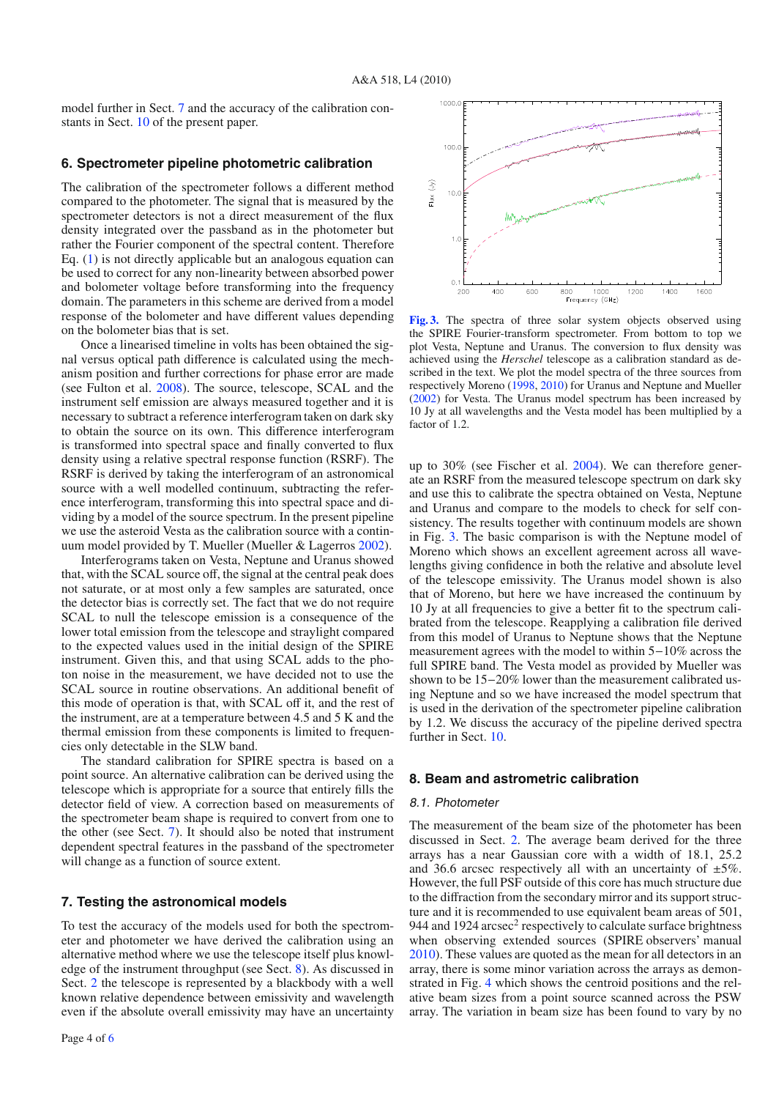model further in Sect. [7](#page-3-1) and the accuracy of the calibration constants in Sect. [10](#page-4-1) of the present paper.

# <span id="page-3-0"></span>**6. Spectrometer pipeline photometric calibration**

The calibration of the spectrometer follows a different method compared to the photometer. The signal that is measured by the spectrometer detectors is not a direct measurement of the flux density integrated over the passband as in the photometer but rather the Fourier component of the spectral content. Therefore Eq. [\(1\)](#page-2-2) is not directly applicable but an analogous equation can be used to correct for any non-linearity between absorbed power and bolometer voltage before transforming into the frequency domain. The parameters in this scheme are derived from a model response of the bolometer and have different values depending on the bolometer bias that is set.

Once a linearised timeline in volts has been obtained the signal versus optical path difference is calculated using the mechanism position and further corrections for phase error are made (see Fulton et al. [2008\)](#page-5-6). The source, telescope, SCAL and the instrument self emission are always measured together and it is necessary to subtract a reference interferogram taken on dark sky to obtain the source on its own. This difference interferogram is transformed into spectral space and finally converted to flux density using a relative spectral response function (RSRF). The RSRF is derived by taking the interferogram of an astronomical source with a well modelled continuum, subtracting the reference interferogram, transforming this into spectral space and dividing by a model of the source spectrum. In the present pipeline we use the asteroid Vesta as the calibration source with a continuum model provided by T. Mueller (Mueller & Lagerros [2002\)](#page-5-11).

Interferograms taken on Vesta, Neptune and Uranus showed that, with the SCAL source off, the signal at the central peak does not saturate, or at most only a few samples are saturated, once the detector bias is correctly set. The fact that we do not require SCAL to null the telescope emission is a consequence of the lower total emission from the telescope and straylight compared to the expected values used in the initial design of the SPIRE instrument. Given this, and that using SCAL adds to the photon noise in the measurement, we have decided not to use the SCAL source in routine observations. An additional benefit of this mode of operation is that, with SCAL off it, and the rest of the instrument, are at a temperature between 4.5 and 5 K and the thermal emission from these components is limited to frequencies only detectable in the SLW band.

The standard calibration for SPIRE spectra is based on a point source. An alternative calibration can be derived using the telescope which is appropriate for a source that entirely fills the detector field of view. A correction based on measurements of the spectrometer beam shape is required to convert from one to the other (see Sect. [7\)](#page-3-1). It should also be noted that instrument dependent spectral features in the passband of the spectrometer will change as a function of source extent.

#### <span id="page-3-1"></span>**7. Testing the astronomical models**

To test the accuracy of the models used for both the spectrometer and photometer we have derived the calibration using an alternative method where we use the telescope itself plus knowledge of the instrument throughput (see Sect. [8\)](#page-3-2). As discussed in Sect. [2](#page-1-0) the telescope is represented by a blackbody with a well known relative dependence between emissivity and wavelength even if the absolute overall emissivity may have an uncertainty

<span id="page-3-3"></span>

**[Fig. 3.](http://dexter.edpsciences.org/applet.php?DOI=10.1051/0004-6361/201014605&pdf_id=3)** The spectra of three solar system objects observed using the SPIRE Fourier-transform spectrometer. From bottom to top we plot Vesta, Neptune and Uranus. The conversion to flux density was achieved using the *Herschel* telescope as a calibration standard as described in the text. We plot the model spectra of the three sources from respectively Moreno [\(1998,](#page-5-9) [2010\)](#page-5-10) for Uranus and Neptune and Mueller [\(2002\)](#page-5-11) for Vesta. The Uranus model spectrum has been increased by 10 Jy at all wavelengths and the Vesta model has been multiplied by a factor of 1.2.

up to 30% (see Fischer et al. [2004\)](#page-5-4). We can therefore generate an RSRF from the measured telescope spectrum on dark sky and use this to calibrate the spectra obtained on Vesta, Neptune and Uranus and compare to the models to check for self consistency. The results together with continuum models are shown in Fig. [3.](#page-3-3) The basic comparison is with the Neptune model of Moreno which shows an excellent agreement across all wavelengths giving confidence in both the relative and absolute level of the telescope emissivity. The Uranus model shown is also that of Moreno, but here we have increased the continuum by 10 Jy at all frequencies to give a better fit to the spectrum calibrated from the telescope. Reapplying a calibration file derived from this model of Uranus to Neptune shows that the Neptune measurement agrees with the model to within 5−10% across the full SPIRE band. The Vesta model as provided by Mueller was shown to be 15−20% lower than the measurement calibrated using Neptune and so we have increased the model spectrum that is used in the derivation of the spectrometer pipeline calibration by 1.2. We discuss the accuracy of the pipeline derived spectra further in Sect. [10.](#page-4-1)

#### <span id="page-3-2"></span>**8. Beam and astrometric calibration**

#### 8.1. Photometer

The measurement of the beam size of the photometer has been discussed in Sect. [2.](#page-1-0) The average beam derived for the three arrays has a near Gaussian core with a width of 18.1, 25.2 and 36.6 arcsec respectively all with an uncertainty of  $\pm 5\%$ . However, the full PSF outside of this core has much structure due to the diffraction from the secondary mirror and its support structure and it is recommended to use equivalent beam areas of 501, 944 and 1924  $\arcsec^2$  respectively to calculate surface brightness when observing extended sources (SPIRE observers' manual [2010\)](#page-5-12). These values are quoted as the mean for all detectors in an array, there is some minor variation across the arrays as demonstrated in Fig. [4](#page-4-2) which shows the centroid positions and the relative beam sizes from a point source scanned across the PSW array. The variation in beam size has been found to vary by no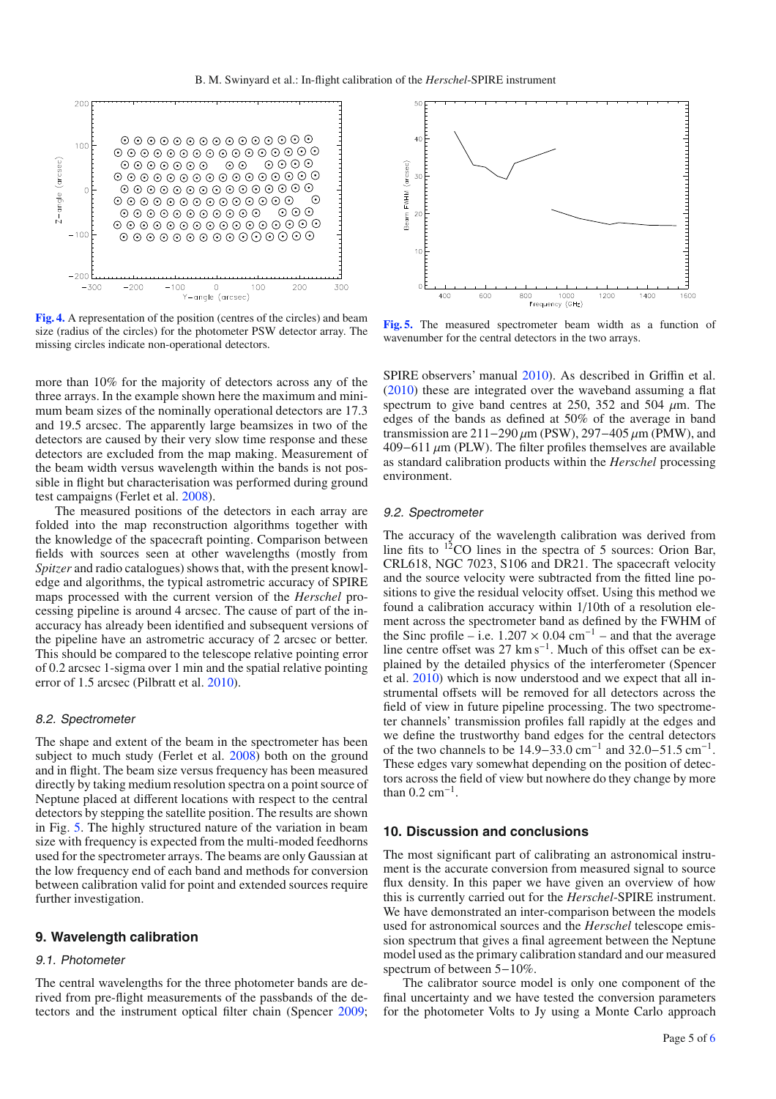<span id="page-4-2"></span>

**[Fig. 4.](http://dexter.edpsciences.org/applet.php?DOI=10.1051/0004-6361/201014605&pdf_id=4)** A representation of the position (centres of the circles) and beam size (radius of the circles) for the photometer PSW detector array. The missing circles indicate non-operational detectors.

more than 10% for the majority of detectors across any of the three arrays. In the example shown here the maximum and minimum beam sizes of the nominally operational detectors are 17.3 and 19.5 arcsec. The apparently large beamsizes in two of the detectors are caused by their very slow time response and these detectors are excluded from the map making. Measurement of the beam width versus wavelength within the bands is not possible in flight but characterisation was performed during ground test campaigns (Ferlet et al. [2008\)](#page-5-13).

The measured positions of the detectors in each array are folded into the map reconstruction algorithms together with the knowledge of the spacecraft pointing. Comparison between fields with sources seen at other wavelengths (mostly from *Spitzer* and radio catalogues) shows that, with the present knowledge and algorithms, the typical astrometric accuracy of SPIRE maps processed with the current version of the *Herschel* processing pipeline is around 4 arcsec. The cause of part of the inaccuracy has already been identified and subsequent versions of the pipeline have an astrometric accuracy of 2 arcsec or better. This should be compared to the telescope relative pointing error of 0.2 arcsec 1-sigma over 1 min and the spatial relative pointing error of 1.5 arcsec (Pilbratt et al. [2010\)](#page-5-7).

## 8.2. Spectrometer

The shape and extent of the beam in the spectrometer has been subject to much study (Ferlet et al. [2008\)](#page-5-13) both on the ground and in flight. The beam size versus frequency has been measured directly by taking medium resolution spectra on a point source of Neptune placed at different locations with respect to the central detectors by stepping the satellite position. The results are shown in Fig. [5.](#page-4-3) The highly structured nature of the variation in beam size with frequency is expected from the multi-moded feedhorns used for the spectrometer arrays. The beams are only Gaussian at the low frequency end of each band and methods for conversion between calibration valid for point and extended sources require further investigation.

# <span id="page-4-0"></span>**9. Wavelength calibration**

# 9.1. Photometer

The central wavelengths for the three photometer bands are derived from pre-flight measurements of the passbands of the detectors and the instrument optical filter chain (Spencer [2009;](#page-5-14)

<span id="page-4-3"></span>

**[Fig. 5.](http://dexter.edpsciences.org/applet.php?DOI=10.1051/0004-6361/201014605&pdf_id=5)** The measured spectrometer beam width as a function of wavenumber for the central detectors in the two arrays.

SPIRE observers' manual [2010\)](#page-5-12). As described in Griffin et al. [\(2010\)](#page-5-0) these are integrated over the waveband assuming a flat spectrum to give band centres at 250, 352 and 504  $\mu$ m. The edges of the bands as defined at 50% of the average in band transmission are 211−290  $\mu$ m (PSW), 297−405  $\mu$ m (PMW), and 409−611 μm (PLW). The filter profiles themselves are available as standard calibration products within the *Herschel* processing environment.

#### 9.2. Spectrometer

The accuracy of the wavelength calibration was derived from line fits to  $12$ CO lines in the spectra of 5 sources: Orion Bar, CRL618, NGC 7023, S106 and DR21. The spacecraft velocity and the source velocity were subtracted from the fitted line positions to give the residual velocity offset. Using this method we found a calibration accuracy within 1/10th of a resolution element across the spectrometer band as defined by the FWHM of the Sinc profile – i.e.  $1.207 \times 0.04$  cm<sup>-1</sup> – and that the average line centre offset was 27 km s−1. Much of this offset can be explained by the detailed physics of the interferometer (Spencer et al. [2010\)](#page-5-15) which is now understood and we expect that all instrumental offsets will be removed for all detectors across the field of view in future pipeline processing. The two spectrometer channels' transmission profiles fall rapidly at the edges and we define the trustworthy band edges for the central detectors of the two channels to be 14.9−33.0 cm−<sup>1</sup> and 32.0−51.5 cm−1. These edges vary somewhat depending on the position of detectors across the field of view but nowhere do they change by more than  $0.2 \text{ cm}^{-1}$ .

#### <span id="page-4-1"></span>**10. Discussion and conclusions**

The most significant part of calibrating an astronomical instrument is the accurate conversion from measured signal to source flux density. In this paper we have given an overview of how this is currently carried out for the *Herschel*-SPIRE instrument. We have demonstrated an inter-comparison between the models used for astronomical sources and the *Herschel* telescope emission spectrum that gives a final agreement between the Neptune model used as the primary calibration standard and our measured spectrum of between 5−10%.

The calibrator source model is only one component of the final uncertainty and we have tested the conversion parameters for the photometer Volts to Jy using a Monte Carlo approach